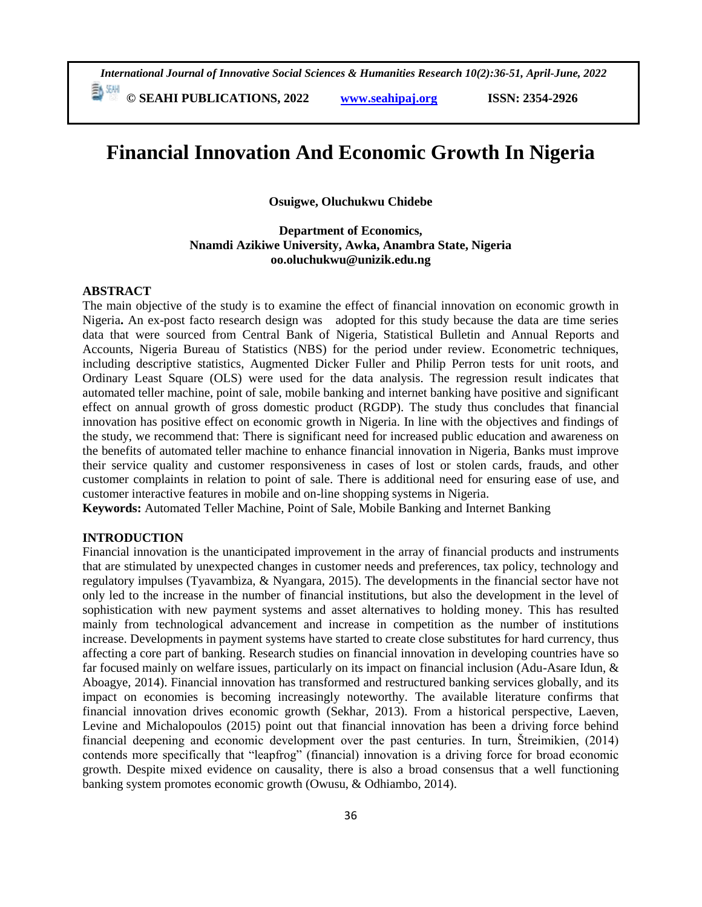**© SEAHI PUBLICATIONS, 2022 [www.seahipaj.org](http://www.seahipaj.org/) ISSN: 2354-2926** 

# **Financial Innovation And Economic Growth In Nigeria**

**Osuigwe, Oluchukwu Chidebe**

### **Department of Economics, Nnamdi Azikiwe University, Awka, Anambra State, Nigeria oo.oluchukwu@unizik.edu.ng**

#### **ABSTRACT**

The main objective of the study is to examine the effect of financial innovation on economic growth in Nigeria**.** An ex-post facto research design was adopted for this study because the data are time series data that were sourced from Central Bank of Nigeria, Statistical Bulletin and Annual Reports and Accounts, Nigeria Bureau of Statistics (NBS) for the period under review. Econometric techniques, including descriptive statistics, Augmented Dicker Fuller and Philip Perron tests for unit roots, and Ordinary Least Square (OLS) were used for the data analysis. The regression result indicates that automated teller machine, point of sale, mobile banking and internet banking have positive and significant effect on annual growth of gross domestic product (RGDP). The study thus concludes that financial innovation has positive effect on economic growth in Nigeria. In line with the objectives and findings of the study, we recommend that: There is significant need for increased public education and awareness on the benefits of automated teller machine to enhance financial innovation in Nigeria, Banks must improve their service quality and customer responsiveness in cases of lost or stolen cards, frauds, and other customer complaints in relation to point of sale. There is additional need for ensuring ease of use, and customer interactive features in mobile and on-line shopping systems in Nigeria.

**Keywords:** Automated Teller Machine, Point of Sale, Mobile Banking and Internet Banking

### **INTRODUCTION**

Financial innovation is the unanticipated improvement in the array of financial products and instruments that are stimulated by unexpected changes in customer needs and preferences, tax policy, technology and regulatory impulses (Tyavambiza, & Nyangara, 2015). The developments in the financial sector have not only led to the increase in the number of financial institutions, but also the development in the level of sophistication with new payment systems and asset alternatives to holding money. This has resulted mainly from technological advancement and increase in competition as the number of institutions increase. Developments in payment systems have started to create close substitutes for hard currency, thus affecting a core part of banking. Research studies on financial innovation in developing countries have so far focused mainly on welfare issues, particularly on its impact on financial inclusion (Adu-Asare Idun, & Aboagye, 2014). Financial innovation has transformed and restructured banking services globally, and its impact on economies is becoming increasingly noteworthy. The available literature confirms that financial innovation drives economic growth (Sekhar, 2013). From a historical perspective, Laeven, Levine and Michalopoulos (2015) point out that financial innovation has been a driving force behind financial deepening and economic development over the past centuries. In turn, Štreimikien, (2014) contends more specifically that "leapfrog" (financial) innovation is a driving force for broad economic growth. Despite mixed evidence on causality, there is also a broad consensus that a well functioning banking system promotes economic growth (Owusu, & Odhiambo, 2014).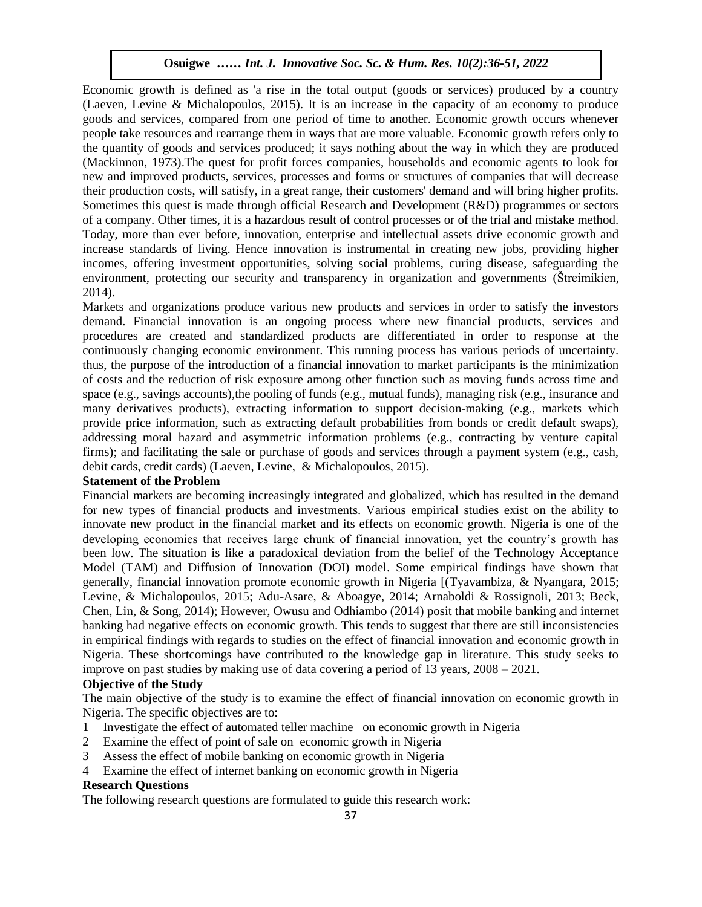Economic growth is defined as 'a rise in the total output (goods or services) produced by a country (Laeven, Levine & Michalopoulos, 2015). It is an increase in the capacity of an economy to produce goods and services, compared from one period of time to another. Economic growth occurs whenever people take resources and rearrange them in ways that are more valuable. Economic growth refers only to the quantity of goods and services produced; it says nothing about the way in which they are produced (Mackinnon, 1973).The quest for profit forces companies, households and economic agents to look for new and improved products, services, processes and forms or structures of companies that will decrease their production costs, will satisfy, in a great range, their customers' demand and will bring higher profits. Sometimes this quest is made through official Research and Development (R&D) programmes or sectors of a company. Other times, it is a hazardous result of control processes or of the trial and mistake method. Today, more than ever before, innovation, enterprise and intellectual assets drive economic growth and increase standards of living. Hence innovation is instrumental in creating new jobs, providing higher incomes, offering investment opportunities, solving social problems, curing disease, safeguarding the environment, protecting our security and transparency in organization and governments (Štreimikien, 2014).  $\mathcal{A}_\mathcal{A}$  ,  $\mathcal{A}_\mathcal{A}$  ,  $\mathcal{A}_\mathcal{A}$  ,  $\mathcal{A}_\mathcal{A}$  ,  $\mathcal{A}_\mathcal{A}$  ,  $\mathcal{A}_\mathcal{A}$  ,  $\mathcal{A}_\mathcal{A}$  ,  $\mathcal{A}_\mathcal{A}$  ,  $\mathcal{A}_\mathcal{A}$  ,  $\mathcal{A}_\mathcal{A}$  ,  $\mathcal{A}_\mathcal{A}$  ,  $\mathcal{A}_\mathcal{A}$  ,  $\mathcal{A}_\mathcal{A}$  ,

Markets and organizations produce various new products and services in order to satisfy the investors demand. Financial innovation is an ongoing process where new financial products, services and procedures are created and standardized products are differentiated in order to response at the continuously changing economic environment. This running process has various periods of uncertainty. thus, the purpose of the introduction of a financial innovation to market participants is the minimization of costs and the reduction of risk exposure among other function such as moving funds across time and space (e.g., savings accounts),the pooling of funds (e.g., mutual funds), managing risk (e.g., insurance and many derivatives products), extracting information to support decision-making (e.g., markets which provide price information, such as extracting default probabilities from bonds or credit default swaps), addressing moral hazard and asymmetric information problems (e.g., contracting by venture capital firms); and facilitating the sale or purchase of goods and services through a payment system (e.g., cash, debit cards, credit cards) (Laeven, Levine, & Michalopoulos, 2015).

### **Statement of the Problem**

Financial markets are becoming increasingly integrated and globalized, which has resulted in the demand for new types of financial products and investments. Various empirical studies exist on the ability to innovate new product in the financial market and its effects on economic growth. Nigeria is one of the developing economies that receives large chunk of financial innovation, yet the country's growth has been low. The situation is like a paradoxical deviation from the belief of the Technology Acceptance Model (TAM) and Diffusion of Innovation (DOI) model. Some empirical findings have shown that generally, financial innovation promote economic growth in Nigeria [(Tyavambiza, & Nyangara, 2015; Levine, & Michalopoulos, 2015; Adu-Asare, & Aboagye, 2014; Arnaboldi & Rossignoli, 2013; Beck, Chen, Lin, & Song, 2014); However, Owusu and Odhiambo (2014) posit that mobile banking and internet banking had negative effects on economic growth. This tends to suggest that there are still inconsistencies in empirical findings with regards to studies on the effect of financial innovation and economic growth in Nigeria. These shortcomings have contributed to the knowledge gap in literature. This study seeks to improve on past studies by making use of data covering a period of 13 years, 2008 – 2021.

### **Objective of the Study**

The main objective of the study is to examine the effect of financial innovation on economic growth in Nigeria. The specific objectives are to:

- 1 Investigate the effect of automated teller machine on economic growth in Nigeria
- 2 Examine the effect of point of sale on economic growth in Nigeria
- 3 Assess the effect of mobile banking on economic growth in Nigeria
- 4 Examine the effect of internet banking on economic growth in Nigeria

### **Research Questions**

The following research questions are formulated to guide this research work: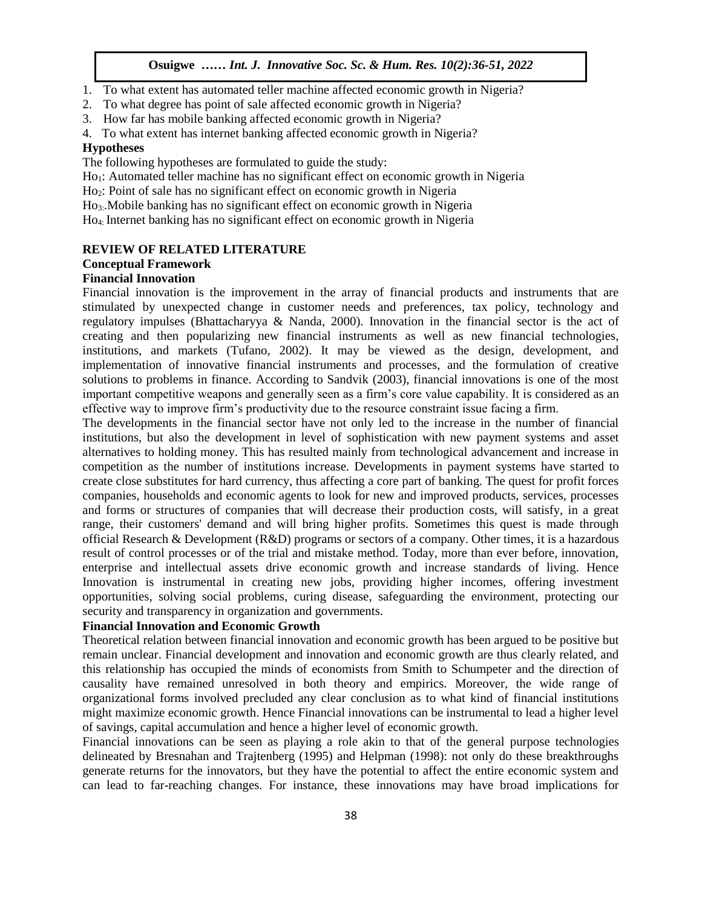- 1. To what extent has automated teller machine affected economic growth in Nigeria?
- 2. To what degree has point of sale affected economic growth in Nigeria?
- 3. How far has mobile banking affected economic growth in Nigeria?
- 4. To what extent has internet banking affected economic growth in Nigeria?

#### **Hypotheses**

The following hypotheses are formulated to guide the study:

- Ho<sub>1</sub>: Automated teller machine has no significant effect on economic growth in Nigeria
- Ho2: Point of sale has no significant effect on economic growth in Nigeria
- Ho3:.Mobile banking has no significant effect on economic growth in Nigeria
- Ho4: Internet banking has no significant effect on economic growth in Nigeria

#### **REVIEW OF RELATED LITERATURE**  $\mathbf{A}$

### **Conceptual Framework**

### **Financial Innovation**

Financial innovation is the improvement in the array of financial products and instruments that are stimulated by unexpected change in customer needs and preferences, tax policy, technology and regulatory impulses (Bhattacharyya & Nanda, 2000). Innovation in the financial sector is the act of creating and then popularizing new financial instruments as well as new financial technologies, institutions, and markets (Tufano, 2002). It may be viewed as the design, development, and implementation of innovative financial instruments and processes, and the formulation of creative solutions to problems in finance. According to Sandvik (2003), financial innovations is one of the most important competitive weapons and generally seen as a firm's core value capability. It is considered as an effective way to improve firm's productivity due to the resource constraint issue facing a firm.

effective way to improve firm s productivity due to the resource constraint issue facing a firm.<br>The developments in the financial sector have not only led to the increase in the number of financial institutions, but also the development in level of sophistication with new payment systems and asset alternatives to holding money. This has resulted mainly from technological advancement and increase in competition as the number of institutions increase. Developments in payment systems have started to competition as the number of institutions increase. Developments in payment systems have stated to create close substitutes for hard currency, thus affecting a core part of banking. The quest for profit forces companies, households and economic agents to look for new and improved products, services, processes and forms or structures of companies that will decrease their production costs, will satisfy, in a great range, their customers' demand and will bring higher profits. Sometimes this quest is made through official Research & Development (R&D) programs or sectors of a company. Other times, it is a hazardous result of control processes or of the trial and mistake method. Today, more than ever before, innovation, enterprise and intellectual assets drive economic growth and increase standards of living. Hence Innovation is instrumental in creating new jobs, providing higher incomes, offering investment opportunities, solving social problems, curing disease, safeguarding the environment, protecting our security and transparency in organization and governments.

### **Financial Innovation and Economic Growth**

Theoretical relation between financial innovation and economic growth has been argued to be positive but remain unclear. Financial development and innovation and economic growth are thus clearly related, and this relationship has occupied the minds of economists from Smith to Schumpeter and the direction of causality have remained unresolved in both theory and empirics. Moreover, the wide range of organizational forms involved precluded any clear conclusion as to what kind of financial institutions might maximize economic growth. Hence Financial innovations can be instrumental to lead a higher level of savings, capital accumulation and hence a higher level of economic growth.

Financial innovations can be seen as playing a role akin to that of the general purpose technologies delineated by Bresnahan and Trajtenberg (1995) and Helpman (1998): not only do these breakthroughs generate returns for the innovators, but they have the potential to affect the entire economic system and can lead to far-reaching changes. For instance, these innovations may have broad implications for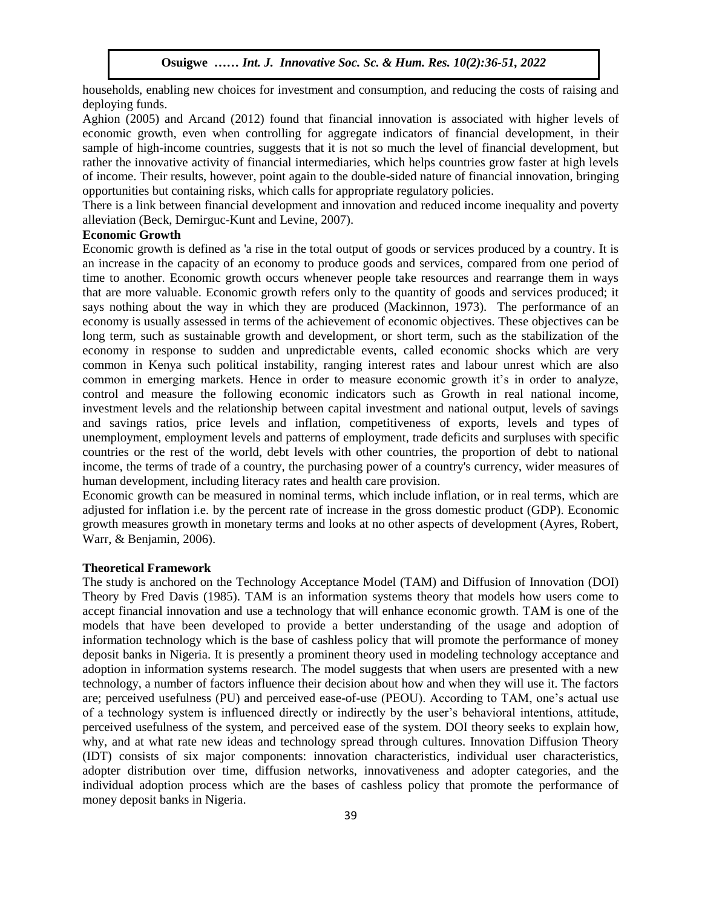households, enabling new choices for investment and consumption, and reducing the costs of raising and deploying funds.

Aghion (2005) and Arcand (2012) found that financial innovation is associated with higher levels of economic growth, even when controlling for aggregate indicators of financial development, in their sample of high-income countries, suggests that it is not so much the level of financial development, but rather the innovative activity of financial intermediaries, which helps countries grow faster at high levels of income. Their results, however, point again to the double-sided nature of financial innovation, bringing opportunities but containing risks, which calls for appropriate regulatory policies.

There is a link between financial development and innovation and reduced income inequality and poverty alleviation (Beck, Demirguc-Kunt and Levine, 2007).

#### **Economic Growth**  Arugu  $\Gamma$  Soc. Sc. Browth Soc. Sc.  $\Gamma$  Innovative Soc. Sc. 8(1):1-11, 2020

Economic growth is defined as 'a rise in the total output of goods or services produced by a country. It is an increase in the capacity of an economy to produce goods and services, compared from one period of time to another. Economic growth occurs whenever people take resources and rearrange them in ways that are more valuable. Economic growth refers only to the quantity of goods and services produced; it says nothing about the way in which they are produced (Mackinnon, 1973). The performance of an economy is usually assessed in terms of the achievement of economic objectives. These objectives can be long term, such as sustainable growth and development, or short term, such as the stabilization of the economy in response to sudden and unpredictable events, called economic shocks which are very common in Kenya such political instability, ranging interest rates and labour unrest which are also common in emerging markets. Hence in order to measure economic growth it's in order to analyze, control and measure the following economic indicators such as Growth in real national income, investment levels and the relationship between capital investment and national output, levels of savings and savings ratios, price levels and inflation, competitiveness of exports, levels and types of unemployment, employment levels and patterns of employment, trade deficits and surpluses with specific countries or the rest of the world, debt levels with other countries, the proportion of debt to national income, the terms of trade of a country, the purchasing power of a country's currency, wider measures of human development, including literacy rates and health care provision.

Economic growth can be measured in nominal terms, which include inflation, or in real terms, which are adjusted for inflation i.e. by the percent rate of increase in the gross domestic product (GDP). Economic growth measures growth in monetary terms and looks at no other aspects of development (Ayres, Robert, Warr, & Benjamin, 2006).

#### **Theoretical Framework**

The study is anchored on the Technology Acceptance Model (TAM) and Diffusion of Innovation (DOI) Theory by Fred Davis (1985). TAM is an information systems theory that models how users come to accept financial innovation and use a technology that will enhance economic growth. TAM is one of the models that have been developed to provide a better understanding of the usage and adoption of information technology which is the base of cashless policy that will promote the performance of money deposit banks in Nigeria. It is presently a prominent theory used in modeling technology acceptance and adoption in information systems research. The model suggests that when users are presented with a new technology, a number of factors influence their decision about how and when they will use it. The factors are; perceived usefulness (PU) and perceived ease-of-use (PEOU). According to TAM, one's actual use of a technology system is influenced directly or indirectly by the user's behavioral intentions, attitude, perceived usefulness of the system, and perceived ease of the system. DOI theory seeks to explain how, why, and at what rate new ideas and technology spread through cultures. Innovation Diffusion Theory (IDT) consists of six major components: innovation characteristics, individual user characteristics, adopter distribution over time, diffusion networks, innovativeness and adopter categories, and the individual adoption process which are the bases of cashless policy that promote the performance of money deposit banks in Nigeria.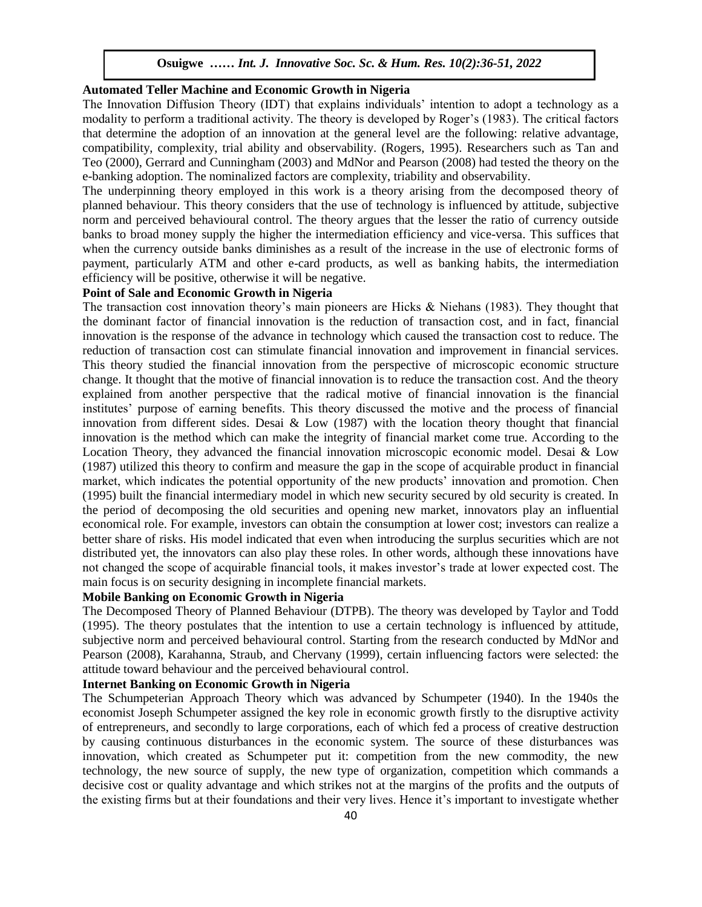### **Automated Teller Machine and Economic Growth in Nigeria**

The Innovation Diffusion Theory (IDT) that explains individuals' intention to adopt a technology as a modality to perform a traditional activity. The theory is developed by Roger's (1983). The critical factors that determine the adoption of an innovation at the general level are the following: relative advantage, compatibility, complexity, trial ability and observability. (Rogers, 1995). Researchers such as Tan and Teo (2000), Gerrard and Cunningham (2003) and MdNor and Pearson (2008) had tested the theory on the e-banking adoption. The nominalized factors are complexity, triability and observability.

The underpinning theory employed in this work is a theory arising from the decomposed theory of planned behaviour. This theory considers that the use of technology is influenced by attitude, subjective norm and perceived behavioural control. The theory argues that the lesser the ratio of currency outside banks to broad money supply the higher the intermediation efficiency and vice-versa. This suffices that when the currency outside banks diminishes as a result of the increase in the use of electronic forms of payment, particularly ATM and other e-card products, as well as banking habits, the intermediation efficiency will be positive, otherwise it will be negative.

## **Point of Sale and Economic Growth in Nigeria**

The transaction cost innovation theory's main pioneers are Hicks & Niehans (1983). They thought that the dominant factor of financial innovation is the reduction of transaction cost, and in fact, financial innovation is the response of the advance in technology which caused the transaction cost to reduce. The reduction of transaction cost can stimulate financial innovation and improvement in financial services. This theory studied the financial innovation from the perspective of microscopic economic structure change. It thought that the motive of financial innovation is to reduce the transaction cost. And the theory explained from another perspective that the radical motive of financial innovation is the financial institutes' purpose of earning benefits. This theory discussed the motive and the process of financial innovation from different sides. Desai  $& Low (1987)$  with the location theory thought that financial innovation is the method which can make the integrity of financial market come true. According to the Location Theory, they advanced the financial innovation microscopic economic model. Desai & Low  $(1987)$  utilized this theory to confirm and measure the gap in the scope of acquirable product in financial market, which indicates the potential opportunity of the new products' innovation and promotion. Chen (1995) built the financial intermediary model in which new security secured by old security is created. In the period of decomposing the old securities and opening new market, innovators play an influential economical role. For example, investors can obtain the consumption at lower cost; investors can realize a better share of risks. His model indicated that even when introducing the surplus securities which are not distributed yet, the innovators can also play these roles. In other words, although these innovations have not changed the scope of acquirable financial tools, it makes investor's trade at lower expected cost. The main focus is on security designing in incomplete financial markets.

### **Mobile Banking on Economic Growth in Nigeria**

The Decomposed Theory of Planned Behaviour (DTPB). The theory was developed by Taylor and Todd (1995). The theory postulates that the intention to use a certain technology is influenced by attitude, subjective norm and perceived behavioural control. Starting from the research conducted by MdNor and Pearson (2008), Karahanna, Straub, and Chervany (1999), certain influencing factors were selected: the attitude toward behaviour and the perceived behavioural control.

### **Internet Banking on Economic Growth in Nigeria**

The Schumpeterian Approach Theory which was advanced by Schumpeter (1940). In the 1940s the economist Joseph Schumpeter assigned the key role in economic growth firstly to the disruptive activity of entrepreneurs, and secondly to large corporations, each of which fed a process of creative destruction by causing continuous disturbances in the economic system. The source of these disturbances was innovation, which created as Schumpeter put it: competition from the new commodity, the new technology, the new source of supply, the new type of organization, competition which commands a decisive cost or quality advantage and which strikes not at the margins of the profits and the outputs of the existing firms but at their foundations and their very lives. Hence it's important to investigate whether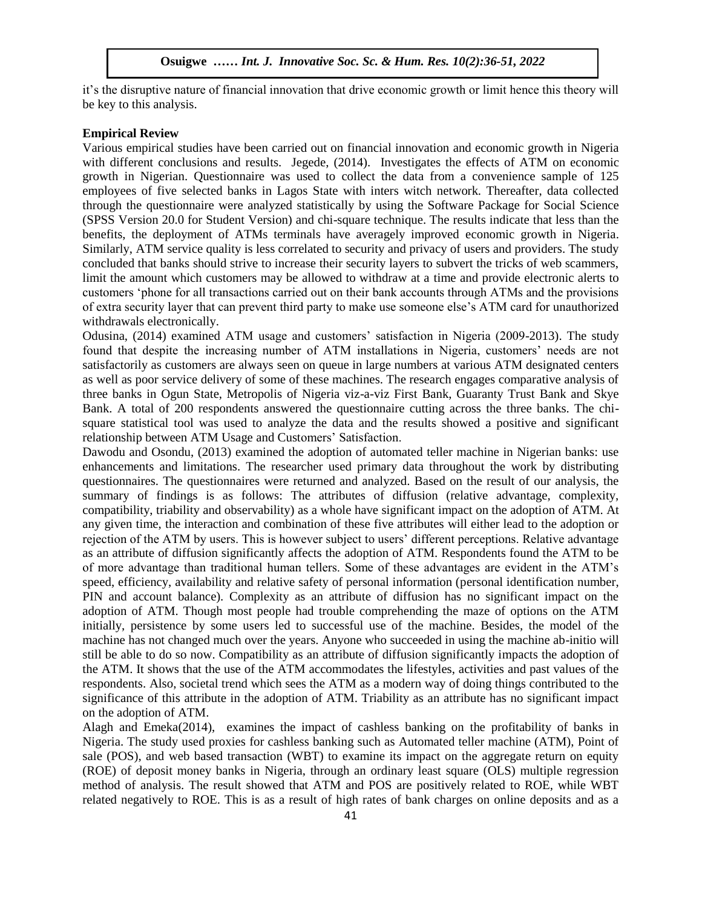it's the disruptive nature of financial innovation that drive economic growth or limit hence this theory will be key to this analysis.

#### **Empirical Review**

Various empirical studies have been carried out on financial innovation and economic growth in Nigeria with different conclusions and results. Jegede, (2014). Investigates the effects of ATM on economic growth in Nigerian. Questionnaire was used to collect the data from a convenience sample of 125 employees of five selected banks in Lagos State with inters witch network. Thereafter, data collected through the questionnaire were analyzed statistically by using the Software Package for Social Science (SPSS Version 20.0 for Student Version) and chi-square technique. The results indicate that less than the benefits, the deployment of ATMs terminals have averagely improved economic growth in Nigeria. Similarly, ATM service quality is less correlated to security and privacy of users and providers. The study concluded that banks should strive to increase their security layers to subvert the tricks of web scammers, limit the amount which customers may be allowed to withdraw at a time and provide electronic alerts to customers 'phone for all transactions carried out on their bank accounts through ATMs and the provisions of extra security layer that can prevent third party to make use someone else's ATM card for unauthorized withdrawals electronically.

Odusina, (2014) examined ATM usage and customers' satisfaction in Nigeria (2009-2013). The study found that despite the increasing number of ATM installations in Nigeria, customers' needs are not satisfactorily as customers are always seen on queue in large numbers at various ATM designated centers as well as poor service delivery of some of these machines. The research engages comparative analysis of three banks in Ogun State, Metropolis of Nigeria viz-a-viz First Bank, Guaranty Trust Bank and Skye Bank. A total of 200 respondents answered the questionnaire cutting across the three banks. The chisquare statistical tool was used to analyze the data and the results showed a positive and significant relationship between ATM Usage and Customers' Satisfaction.

Dawodu and Osondu, (2013) examined the adoption of automated teller machine in Nigerian banks: use enhancements and limitations. The researcher used primary data throughout the work by distributing questionnaires. The questionnaires were returned and analyzed. Based on the result of our analysis, the summary of findings is as follows: The attributes of diffusion (relative advantage, complexity, compatibility, triability and observability) as a whole have significant impact on the adoption of ATM. At any given time, the interaction and combination of these five attributes will either lead to the adoption or rejection of the ATM by users. This is however subject to users' different perceptions. Relative advantage as an attribute of diffusion significantly affects the adoption of ATM. Respondents found the ATM to be of more advantage than traditional human tellers. Some of these advantages are evident in the ATM's speed, efficiency, availability and relative safety of personal information (personal identification number, PIN and account balance). Complexity as an attribute of diffusion has no significant impact on the adoption of ATM. Though most people had trouble comprehending the maze of options on the ATM initially, persistence by some users led to successful use of the machine. Besides, the model of the machine has not changed much over the years. Anyone who succeeded in using the machine ab-initio will still be able to do so now. Compatibility as an attribute of diffusion significantly impacts the adoption of the ATM. It shows that the use of the ATM accommodates the lifestyles, activities and past values of the respondents. Also, societal trend which sees the ATM as a modern way of doing things contributed to the significance of this attribute in the adoption of ATM. Triability as an attribute has no significant impact on the adoption of ATM.

Alagh and Emeka(2014), examines the impact of cashless banking on the profitability of banks in Nigeria. The study used proxies for cashless banking such as Automated teller machine (ATM), Point of sale (POS), and web based transaction (WBT) to examine its impact on the aggregate return on equity (ROE) of deposit money banks in Nigeria, through an ordinary least square (OLS) multiple regression method of analysis. The result showed that ATM and POS are positively related to ROE, while WBT related negatively to ROE. This is as a result of high rates of bank charges on online deposits and as a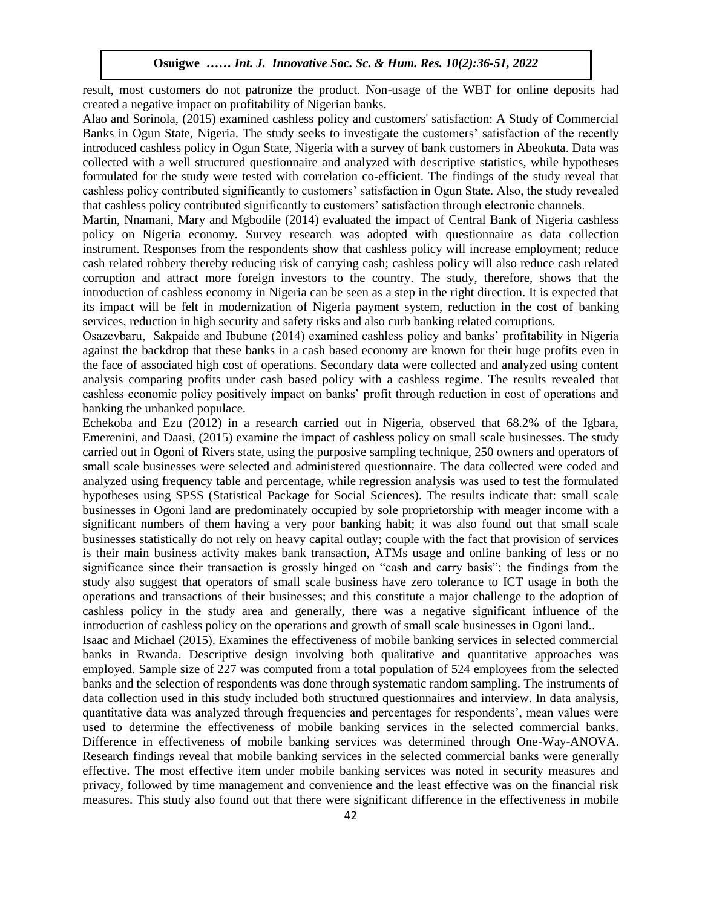result, most customers do not patronize the product. Non-usage of the WBT for online deposits had created a negative impact on profitability of Nigerian banks.

Alao and Sorinola, (2015) examined cashless policy and customers' satisfaction: A Study of Commercial Banks in Ogun State, Nigeria. The study seeks to investigate the customers' satisfaction of the recently introduced cashless policy in Ogun State, Nigeria with a survey of bank customers in Abeokuta. Data was collected with a well structured questionnaire and analyzed with descriptive statistics, while hypotheses formulated for the study were tested with correlation co-efficient. The findings of the study reveal that cashless policy contributed significantly to customers' satisfaction in Ogun State. Also, the study revealed that cashless policy contributed significantly to customers' satisfaction through electronic channels.

Martin, Nnamani, Mary and Mgbodile (2014) evaluated the impact of Central Bank of Nigeria cashless policy on Nigeria economy. Survey research was adopted with questionnaire as data collection instrument. Responses from the respondents show that cashless policy will increase employment; reduce cash related robbery thereby reducing risk of carrying cash; cashless policy will also reduce cash related corruption and attract more foreign investors to the country. The study, therefore, shows that the introduction of cashless economy in Nigeria can be seen as a step in the right direction. It is expected that its impact will be felt in modernization of Nigeria payment system, reduction in the cost of banking services, reduction in high security and safety risks and also curb banking related corruptions.

Osazevbaru, Sakpaide and Ibubune (2014) examined cashless policy and banks' profitability in Nigeria against the backdrop that these banks in a cash based economy are known for their huge profits even in the face of associated high cost of operations. Secondary data were collected and analyzed using content analysis comparing profits under cash based policy with a cashless regime. The results revealed that cashless economic policy positively impact on banks' profit through reduction in cost of operations and banking the unbanked populace.  $\lim_{M \to \infty}$  ine unbanked populace.

Echekoba and Ezu (2012) in a research carried out in Nigeria, observed that 68.2% of the Igbara, Emerenini, and Daasi, (2015) examine the impact of cashless policy on small scale businesses. The study carried out in Ogoni of Rivers state, using the purposive sampling technique, 250 owners and operators of small scale businesses were selected and administered questionnaire. The data collected were coded and analyzed using frequency table and percentage, while regression analysis was used to test the formulated hypotheses using SPSS (Statistical Package for Social Sciences). The results indicate that: small scale businesses in Ogoni land are predominately occupied by sole proprietorship with meager income with a significant numbers of them having a very poor banking habit; it was also found out that small scale businesses statistically do not rely on heavy capital outlay; couple with the fact that provision of services is their main business activity makes bank transaction, ATMs usage and online banking of less or no significance since their transaction is grossly hinged on "cash and carry basis"; the findings from the study also suggest that operators of small scale business have zero tolerance to ICT usage in both the operations and transactions of their businesses; and this constitute a major challenge to the adoption of cashless policy in the study area and generally, there was a negative significant influence of the introduction of cashless policy on the operations and growth of small scale businesses in Ogoni land..

Isaac and Michael (2015). Examines the effectiveness of mobile banking services in selected commercial banks in Rwanda. Descriptive design involving both qualitative and quantitative approaches was employed. Sample size of 227 was computed from a total population of 524 employees from the selected banks and the selection of respondents was done through systematic random sampling. The instruments of data collection used in this study included both structured questionnaires and interview. In data analysis, quantitative data was analyzed through frequencies and percentages for respondents', mean values were used to determine the effectiveness of mobile banking services in the selected commercial banks. Difference in effectiveness of mobile banking services was determined through One-Way-ANOVA. Research findings reveal that mobile banking services in the selected commercial banks were generally effective. The most effective item under mobile banking services was noted in security measures and privacy, followed by time management and convenience and the least effective was on the financial risk measures. This study also found out that there were significant difference in the effectiveness in mobile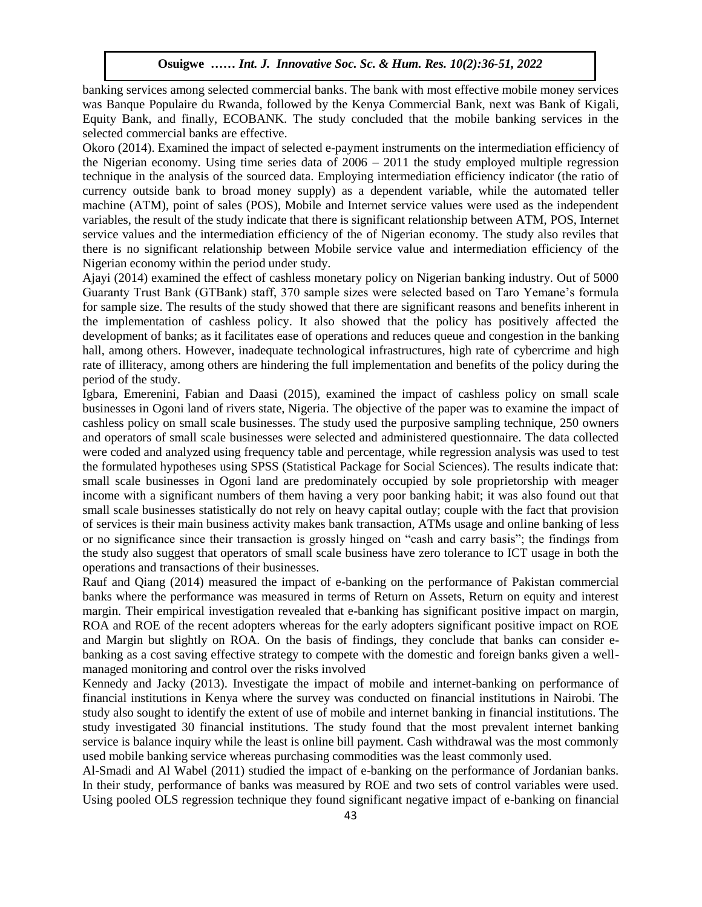banking services among selected commercial banks. The bank with most effective mobile money services was Banque Populaire du Rwanda, followed by the Kenya Commercial Bank, next was Bank of Kigali, Equity Bank, and finally, ECOBANK. The study concluded that the mobile banking services in the selected commercial banks are effective.

Okoro (2014). Examined the impact of selected e-payment instruments on the intermediation efficiency of the Nigerian economy. Using time series data of  $2006 - 2011$  the study employed multiple regression technique in the analysis of the sourced data. Employing intermediation efficiency indicator (the ratio of currency outside bank to broad money supply) as a dependent variable, while the automated teller machine (ATM), point of sales (POS), Mobile and Internet service values were used as the independent variables, the result of the study indicate that there is significant relationship between ATM, POS, Internet service values and the intermediation efficiency of the of Nigerian economy. The study also reviles that there is no significant relationship between Mobile service value and intermediation efficiency of the Nigerian economy within the period under study.

Ajayi (2014) examined the effect of cashless monetary policy on Nigerian banking industry. Out of 5000 Guaranty Trust Bank (GTBank) staff, 370 sample sizes were selected based on Taro Yemane's formula for sample size. The results of the study showed that there are significant reasons and benefits inherent in the implementation of cashless policy. It also showed that the policy has positively affected the development of banks; as it facilitates ease of operations and reduces queue and congestion in the banking hall, among others. However, inadequate technological infrastructures, high rate of cybercrime and high sum and high rate of illiteracy, among others are hindering the full implementation and benefits of the policy during the period of the study.

Igbara, Emerenini, Fabian and Daasi (2015), examined the impact of cashless policy on small scale businesses in Ogoni land of rivers state, Nigeria. The objective of the paper was to examine the impact of cashless policy on small scale businesses. The study used the purposive sampling technique, 250 owners and operators of small scale businesses were selected and administered questionnaire. The data collected were coded and analyzed using frequency table and percentage, while regression analysis was used to test the formulated hypotheses using SPSS (Statistical Package for Social Sciences). The results indicate that: small scale businesses in Ogoni land are predominately occupied by sole proprietorship with meager income with a significant numbers of them having a very poor banking habit; it was also found out that small scale businesses statistically do not rely on heavy capital outlay; couple with the fact that provision of services is their main business activity makes bank transaction, ATMs usage and online banking of less or no significance since their transaction is grossly hinged on "cash and carry basis"; the findings from the study also suggest that operators of small scale business have zero tolerance to ICT usage in both the operations and transactions of their businesses.

Rauf and Qiang (2014) measured the impact of e-banking on the performance of Pakistan commercial banks where the performance was measured in terms of Return on Assets, Return on equity and interest margin. Their empirical investigation revealed that e-banking has significant positive impact on margin, ROA and ROE of the recent adopters whereas for the early adopters significant positive impact on ROE and Margin but slightly on ROA. On the basis of findings, they conclude that banks can consider ebanking as a cost saving effective strategy to compete with the domestic and foreign banks given a wellmanaged monitoring and control over the risks involved

Kennedy and Jacky (2013). Investigate the impact of mobile and internet-banking on performance of financial institutions in Kenya where the survey was conducted on financial institutions in Nairobi. The study also sought to identify the extent of use of mobile and internet banking in financial institutions. The study investigated 30 financial institutions. The study found that the most prevalent internet banking service is balance inquiry while the least is online bill payment. Cash withdrawal was the most commonly used mobile banking service whereas purchasing commodities was the least commonly used.

Al-Smadi and Al Wabel (2011) studied the impact of e-banking on the performance of Jordanian banks. In their study, performance of banks was measured by ROE and two sets of control variables were used. Using pooled OLS regression technique they found significant negative impact of e-banking on financial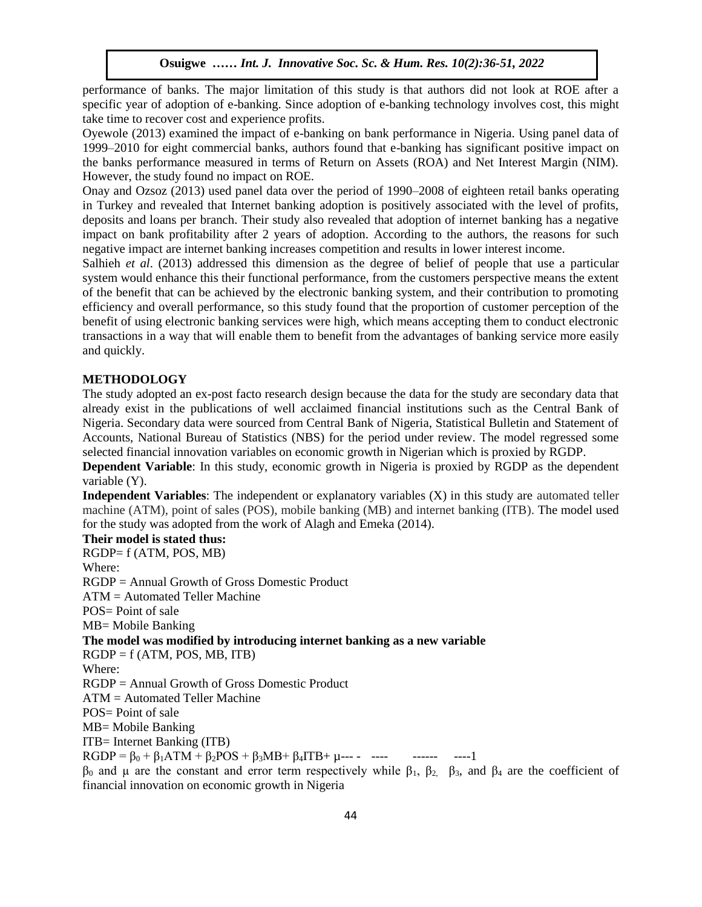performance of banks. The major limitation of this study is that authors did not look at ROE after a specific year of adoption of e-banking. Since adoption of e-banking technology involves cost, this might take time to recover cost and experience profits.

Oyewole (2013) examined the impact of e-banking on bank performance in Nigeria. Using panel data of 1999–2010 for eight commercial banks, authors found that e-banking has significant positive impact on the banks performance measured in terms of Return on Assets (ROA) and Net Interest Margin (NIM). However, the study found no impact on ROE.

Onay and Ozsoz (2013) used panel data over the period of 1990–2008 of eighteen retail banks operating in Turkey and revealed that Internet banking adoption is positively associated with the level of profits, deposits and loans per branch. Their study also revealed that adoption of internet banking has a negative impact on bank profitability after 2 years of adoption. According to the authors, the reasons for such negative impact are internet banking increases competition and results in lower interest income.

Salhieh *et al*. (2013) addressed this dimension as the degree of belief of people that use a particular system would enhance this their functional performance, from the customers perspective means the extent of the benefit that can be achieved by the electronic banking system, and their contribution to promoting efficiency and overall performance, so this study found that the proportion of customer perception of the benefit of using electronic banking services were high, which means accepting them to conduct electronic transactions in a way that will enable them to benefit from the advantages of banking service more easily and quickly.  $\n 10Kly.$ 

### **METHODOLOGY**

The study adopted an ex-post facto research design because the data for the study are secondary data that already exist in the publications of well acclaimed financial institutions such as the Central Bank of Nigeria. Secondary data were sourced from Central Bank of Nigeria, Statistical Bulletin and Statement of Accounts, National Bureau of Statistics (NBS) for the period under review. The model regressed some selected financial innovation variables on economic growth in Nigerian which is proxied by RGDP.

**Dependent Variable**: In this study, economic growth in Nigeria is proxied by RGDP as the dependent variable (Y).

**Independent Variables**: The independent or explanatory variables (X) in this study are automated teller machine (ATM), point of sales (POS), mobile banking (MB) and internet banking (ITB). The model used for the study was adopted from the work of Alagh and Emeka (2014).

**Their model is stated thus:** RGDP= f (ATM, POS, MB) Where: RGDP = Annual Growth of Gross Domestic Product ATM = Automated Teller Machine POS= Point of sale MB= Mobile Banking **The model was modified by introducing internet banking as a new variable**   $RGDP = f (ATM, POS, MB, ITB)$ Where: RGDP = Annual Growth of Gross Domestic Product ATM = Automated Teller Machine POS= Point of sale MB= Mobile Banking ITB= Internet Banking (ITB) RGDP = β<sup>0</sup> + β1ATM + β2POS + β3MB+ β4ITB+ µ--- - ---- ------ ----1  $β_0$  and μ are the constant and error term respectively while  $β_1$ ,  $β_2$ ,  $β_3$ , and  $β_4$  are the coefficient of financial innovation on economic growth in Nigeria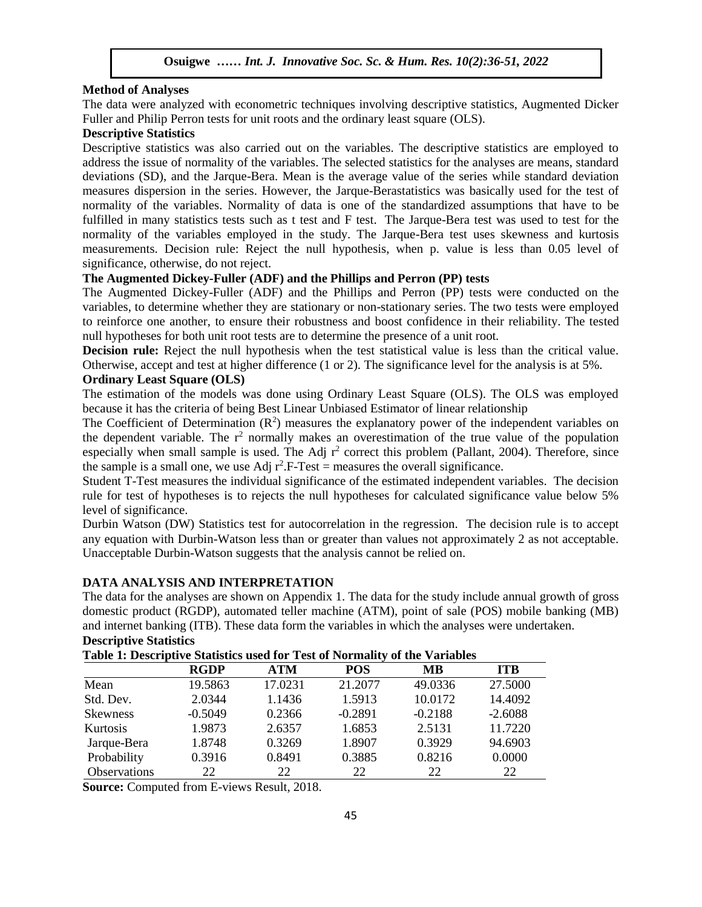#### **Method of Analyses**

The data were analyzed with econometric techniques involving descriptive statistics, Augmented Dicker Fuller and Philip Perron tests for unit roots and the ordinary least square (OLS).

### **Descriptive Statistics**

Descriptive statistics was also carried out on the variables. The descriptive statistics are employed to address the issue of normality of the variables. The selected statistics for the analyses are means, standard deviations (SD), and the Jarque-Bera. Mean is the average value of the series while standard deviation measures dispersion in the series. However, the Jarque-Berastatistics was basically used for the test of normality of the variables. Normality of data is one of the standardized assumptions that have to be fulfilled in many statistics tests such as t test and F test. The Jarque-Bera test was used to test for the normality of the variables employed in the study. The Jarque-Bera test uses skewness and kurtosis measurements. Decision rule: Reject the null hypothesis, when p. value is less than 0.05 level of significance, otherwise, do not reject.

### **The Augmented Dickey-Fuller (ADF) and the Phillips and Perron (PP) tests**

The Augmented Dickey-Fuller (ADF) and the Phillips and Perron (PP) tests were conducted on the variables, to determine whether they are stationary or non-stationary series. The two tests were employed to reinforce one another, to ensure their robustness and boost confidence in their reliability. The tested null hypotheses for both unit root tests are to determine the presence of a unit root.

Decision rule: Reject the null hypothesis when the test statistical value is less than the critical value. Otherwise, accept and test at higher difference (1 or 2). The significance level for the analysis is at 5%.

## **Ordinary Least Square (OLS)**

The estimation of the models was done using Ordinary Least Square (OLS). The OLS was employed because it has the criteria of being Best Linear Unbiased Estimator of linear relationship

The Coefficient of Determination  $(R^2)$  measures the explanatory power of the independent variables on the dependent variable. The  $r^2$  normally makes an overestimation of the true value of the population especially when small sample is used. The Adj  $r^2$  correct this problem (Pallant, 2004). Therefore, since the sample is a small one, we use Adj  $r^2$ . F-Test = measures the overall significance.

Student T-Test measures the individual significance of the estimated independent variables. The decision rule for test of hypotheses is to rejects the null hypotheses for calculated significance value below 5% level of significance.

Durbin Watson (DW) Statistics test for autocorrelation in the regression. The decision rule is to accept any equation with Durbin-Watson less than or greater than values not approximately 2 as not acceptable. Unacceptable Durbin-Watson suggests that the analysis cannot be relied on.

### **DATA ANALYSIS AND INTERPRETATION**

The data for the analyses are shown on Appendix 1. The data for the study include annual growth of gross domestic product (RGDP), automated teller machine (ATM), point of sale (POS) mobile banking (MB) and internet banking (ITB). These data form the variables in which the analyses were undertaken. **Descriptive Statistics** 

| Table 1: Descriptive Statistics used for Test of Normality of the Variables |  |  |  |  |
|-----------------------------------------------------------------------------|--|--|--|--|
|-----------------------------------------------------------------------------|--|--|--|--|

|                 | <b>RGDP</b> | <b>ATM</b> | <b>POS</b> | MВ        | <b>TTB</b> |
|-----------------|-------------|------------|------------|-----------|------------|
| Mean            | 19.5863     | 17.0231    | 21.2077    | 49.0336   | 27.5000    |
| Std. Dev.       | 2.0344      | 1.1436     | 1.5913     | 10.0172   | 14.4092    |
| <b>Skewness</b> | $-0.5049$   | 0.2366     | $-0.2891$  | $-0.2188$ | $-2.6088$  |
| <b>Kurtosis</b> | 1.9873      | 2.6357     | 1.6853     | 2.5131    | 11.7220    |
| Jarque-Bera     | 1.8748      | 0.3269     | 1.8907     | 0.3929    | 94.6903    |
| Probability     | 0.3916      | 0.8491     | 0.3885     | 0.8216    | 0.0000     |
| Observations    | 22          | 22         | 22         | 22        | 22         |

**Source:** Computed from E-views Result, 2018.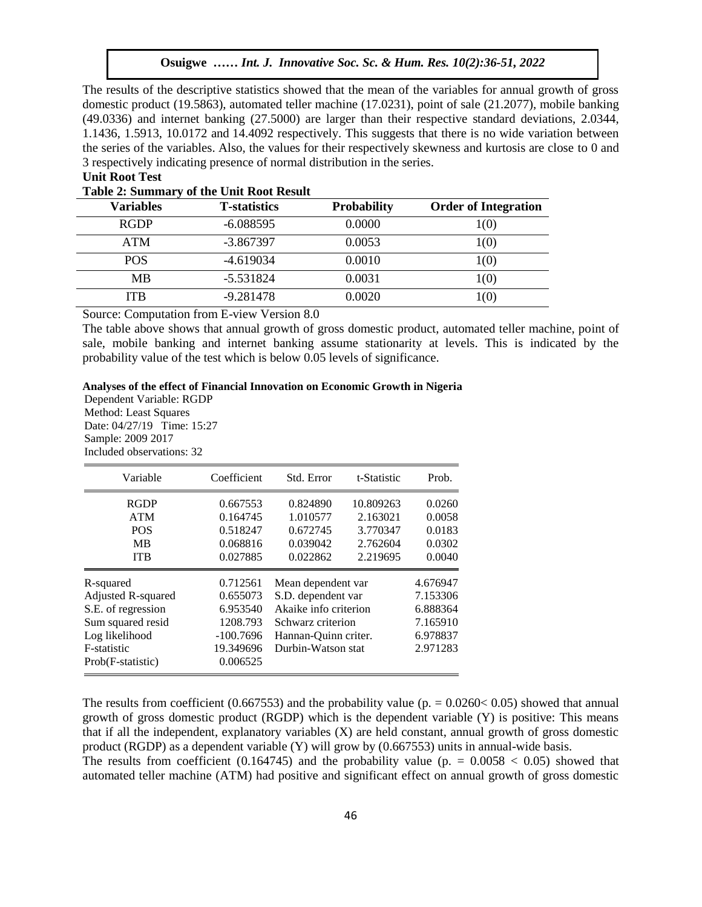The results of the descriptive statistics showed that the mean of the variables for annual growth of gross domestic product (19.5863), automated teller machine (17.0231), point of sale (21.2077), mobile banking  $(49.0336)$  and internet banking  $(27.5000)$  are larger than their respective standard deviations,  $2.0344$ , 1.1436, 1.5913, 10.0172 and 14.4092 respectively. This suggests that there is no wide variation between the series of the variables. Also, the values for their respectively skewness and kurtosis are close to 0 and 3 respectively indicating presence of normal distribution in the series.

#### **Unit Root Test**  $\alpha$  Next model with  $\alpha$  is the Society Society Society Society Soc. Sc.  $\beta$

|  |  |  |  | Table 2: Summary of the Unit Root Result |
|--|--|--|--|------------------------------------------|
|--|--|--|--|------------------------------------------|

| <b>Variables</b> | <b>T</b> -statistics | <b>Probability</b> | <b>Order of Integration</b> |
|------------------|----------------------|--------------------|-----------------------------|
| <b>RGDP</b>      | $-6.088595$          | 0.0000             | 1(0)                        |
| <b>ATM</b>       | $-3.867397$          | 0.0053             | 1(0)                        |
| <b>POS</b>       | -4.619034            | 0.0010             | 1(0)                        |
| <b>MB</b>        | $-5.531824$          | 0.0031             | 1(0)                        |
| <b>ITB</b>       | $-9.281478$          | 0.0020             | 1(0)                        |
|                  | $\sim$<br>_ . _ _ .  |                    |                             |

Source: Computation from E-view Version 8.0

The table above shows that annual growth of gross domestic product, automated teller machine, point of sale, mobile banking and internet banking assume stationarity at levels. This is indicated by the probability value of the test which is below  $0.05$  levels of significance.

#### **Analyses of the effect of Financial Innovation on Economic Growth in Nigeria**

Dependent Variable: RGDP Method: Least Squares Date: 04/27/19 Time: 15:27 Sample: 2009 2017 Included observations: 32

| Variable           | Coefficient | Std. Error            | t-Statistic | Prob.    |
|--------------------|-------------|-----------------------|-------------|----------|
| <b>RGDP</b>        | 0.667553    | 0.824890              | 10.809263   | 0.0260   |
| <b>ATM</b>         | 0.164745    | 1.010577              | 2.163021    | 0.0058   |
| <b>POS</b>         | 0.518247    | 0.672745              | 3.770347    | 0.0183   |
| <b>MB</b>          | 0.068816    | 0.039042              | 2.762604    | 0.0302   |
| <b>ITB</b>         | 0.027885    | 0.022862              | 2.219695    | 0.0040   |
| R-squared          | 0.712561    | Mean dependent var    |             | 4.676947 |
| Adjusted R-squared | 0.655073    | S.D. dependent var    |             | 7.153306 |
| S.E. of regression | 6.953540    | Akaike info criterion |             | 6.888364 |
| Sum squared resid  | 1208.793    | Schwarz criterion     |             | 7.165910 |
| Log likelihood     | $-100.7696$ | Hannan-Quinn criter.  |             | 6.978837 |
| F-statistic        | 19.349696   | Durbin-Watson stat    |             | 2.971283 |
| Prob(F-statistic)  | 0.006525    |                       |             |          |

The results from coefficient (0.667553) and the probability value (p.  $= 0.0260 \times 0.05$ ) showed that annual growth of gross domestic product (RGDP) which is the dependent variable (Y) is positive: This means that if all the independent, explanatory variables (X) are held constant, annual growth of gross domestic product (RGDP) as a dependent variable (Y) will grow by (0.667553) units in annual-wide basis.

The results from coefficient (0.164745) and the probability value (p.  $= 0.0058 < 0.05$ ) showed that automated teller machine (ATM) had positive and significant effect on annual growth of gross domestic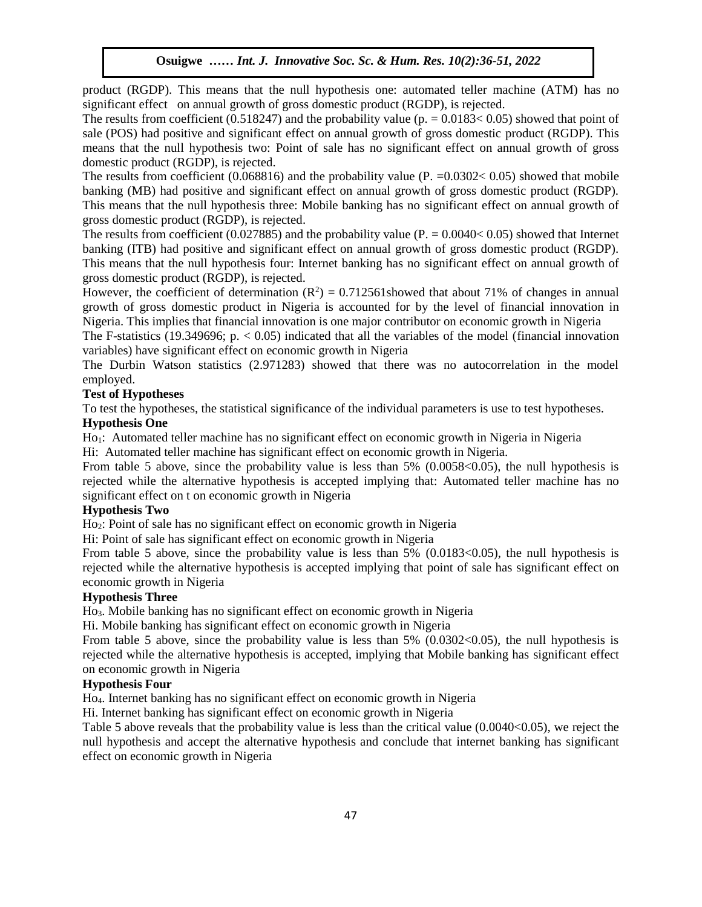product (RGDP). This means that the null hypothesis one: automated teller machine (ATM) has no significant effect on annual growth of gross domestic product (RGDP), is rejected.

The results from coefficient (0.518247) and the probability value ( $p = 0.0183 < 0.05$ ) showed that point of sale (POS) had positive and significant effect on annual growth of gross domestic product (RGDP). This means that the null hypothesis two: Point of sale has no significant effect on annual growth of gross domestic product (RGDP), is rejected.

The results from coefficient  $(0.068816)$  and the probability value  $(P. = 0.0302 < 0.05)$  showed that mobile banking (MB) had positive and significant effect on annual growth of gross domestic product (RGDP). This means that the null hypothesis three: Mobile banking has no significant effect on annual growth of gross domestic product (RGDP), is rejected.

The results from coefficient (0.027885) and the probability value ( $P = 0.0040 < 0.05$ ) showed that Internet banking (ITB) had positive and significant effect on annual growth of gross domestic product (RGDP). This means that the null hypothesis four: Internet banking has no significant effect on annual growth of gross domestic product (RGDP), is rejected.

However, the coefficient of determination  $(R^2) = 0.712561$  showed that about 71% of changes in annual growth of gross domestic product in Nigeria is accounted for by the level of financial innovation in Nigeria. This implies that financial innovation is one major contributor on economic growth in Nigeria

The F-statistics (19.349696; p.  $< 0.05$ ) indicated that all the variables of the model (financial innovation variables) have significant effect on economic growth in Nigeria

The Durbin Watson statistics (2.971283) showed that there was no autocorrelation in the model employed.

### **Test of Hypotheses**

To test the hypotheses, the statistical significance of the individual parameters is use to test hypotheses.

### **Hypothesis One**

Ho<sub>1</sub>: Automated teller machine has no significant effect on economic growth in Nigeria in Nigeria

Hi: Automated teller machine has significant effect on economic growth in Nigeria.

From table 5 above, since the probability value is less than 5% (0.0058<0.05), the null hypothesis is rejected while the alternative hypothesis is accepted implying that: Automated teller machine has no significant effect on t on economic growth in Nigeria

### **Hypothesis Two**

Ho2: Point of sale has no significant effect on economic growth in Nigeria

Hi: Point of sale has significant effect on economic growth in Nigeria

From table 5 above, since the probability value is less than 5% (0.0183<0.05), the null hypothesis is rejected while the alternative hypothesis is accepted implying that point of sale has significant effect on economic growth in Nigeria

### **Hypothesis Three**

Ho3. Mobile banking has no significant effect on economic growth in Nigeria

Hi. Mobile banking has significant effect on economic growth in Nigeria

From table 5 above, since the probability value is less than 5% (0.0302<0.05), the null hypothesis is rejected while the alternative hypothesis is accepted, implying that Mobile banking has significant effect on economic growth in Nigeria

### **Hypothesis Four**

Ho4. Internet banking has no significant effect on economic growth in Nigeria

Hi. Internet banking has significant effect on economic growth in Nigeria

Table 5 above reveals that the probability value is less than the critical value (0.0040<0.05), we reject the null hypothesis and accept the alternative hypothesis and conclude that internet banking has significant effect on economic growth in Nigeria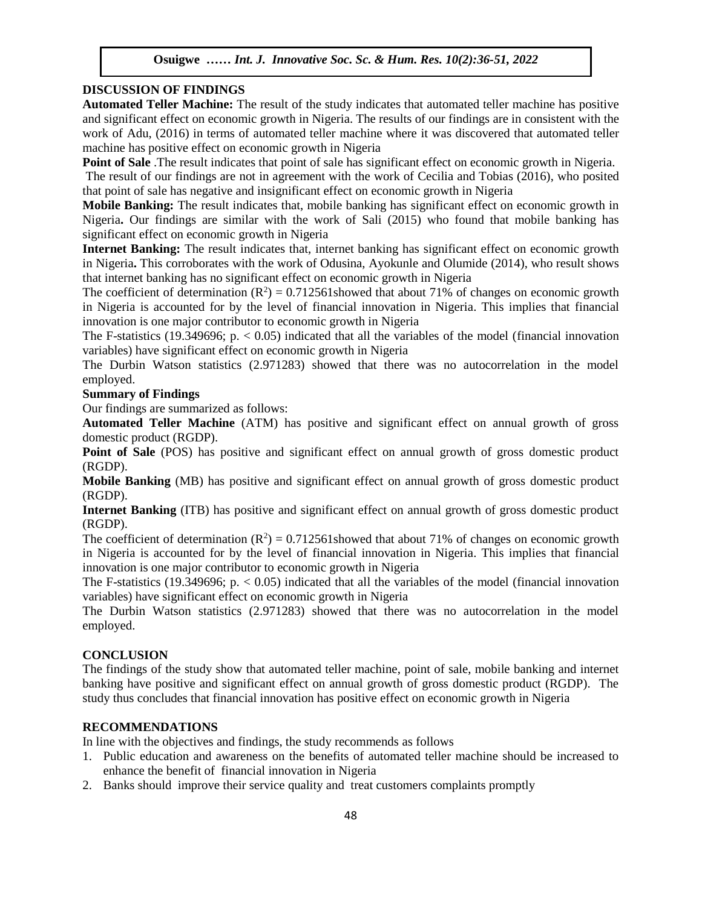### **DISCUSSION OF FINDINGS**

**Automated Teller Machine:** The result of the study indicates that automated teller machine has positive and significant effect on economic growth in Nigeria. The results of our findings are in consistent with the work of Adu, (2016) in terms of automated teller machine where it was discovered that automated teller machine has positive effect on economic growth in Nigeria

**Point of Sale** .The result indicates that point of sale has significant effect on economic growth in Nigeria.

The result of our findings are not in agreement with the work of Cecilia and Tobias (2016), who posited that point of sale has negative and insignificant effect on economic growth in Nigeria

**Mobile Banking:** The result indicates that, mobile banking has significant effect on economic growth in Nigeria**.** Our findings are similar with the work of Sali (2015) who found that mobile banking has significant effect on economic growth in Nigeria

**Internet Banking:** The result indicates that, internet banking has significant effect on economic growth in Nigeria**.** This corroborates with the work of Odusina, Ayokunle and Olumide (2014), who result shows that internet banking has no significant effect on economic growth in Nigeria

The coefficient of determination  $(R^2) = 0.712561$  showed that about 71% of changes on economic growth in Nigeria is accounted for by the level of financial innovation in Nigeria. This implies that financial innovation is one major contributor to economic growth in Nigeria

The F-statistics (19.349696; p.  $\lt$  0.05) indicated that all the variables of the model (financial innovation variables) have significant effect on economic growth in Nigeria

The Durbin Watson statistics (2.971283) showed that there was no autocorrelation in the model employed.

### **Summary of Findings**

Our findings are summarized as follows:

**Automated Teller Machine** (ATM) has positive and significant effect on annual growth of gross domestic product (RGDP).

**Point of Sale** (POS) has positive and significant effect on annual growth of gross domestic product (RGDP).  $\Delta P$ .

**Mobile Banking** (MB) has positive and significant effect on annual growth of gross domestic product (RGDP).

**Internet Banking** (ITB) has positive and significant effect on annual growth of gross domestic product (RGDP).

The coefficient of determination  $(R^2) = 0.712561$  showed that about 71% of changes on economic growth in Nigeria is accounted for by the level of financial innovation in Nigeria. This implies that financial innovation is one major contributor to economic growth in Nigeria

The F-statistics (19.349696; p.  $\lt$  0.05) indicated that all the variables of the model (financial innovation variables) have significant effect on economic growth in Nigeria

The Durbin Watson statistics (2.971283) showed that there was no autocorrelation in the model employed.

### **CONCLUSION**

The findings of the study show that automated teller machine, point of sale, mobile banking and internet banking have positive and significant effect on annual growth of gross domestic product (RGDP). The study thus concludes that financial innovation has positive effect on economic growth in Nigeria

### **RECOMMENDATIONS**

In line with the objectives and findings, the study recommends as follows

- 1. Public education and awareness on the benefits of automated teller machine should be increased to enhance the benefit of financial innovation in Nigeria
- 2. Banks should improve their service quality and treat customers complaints promptly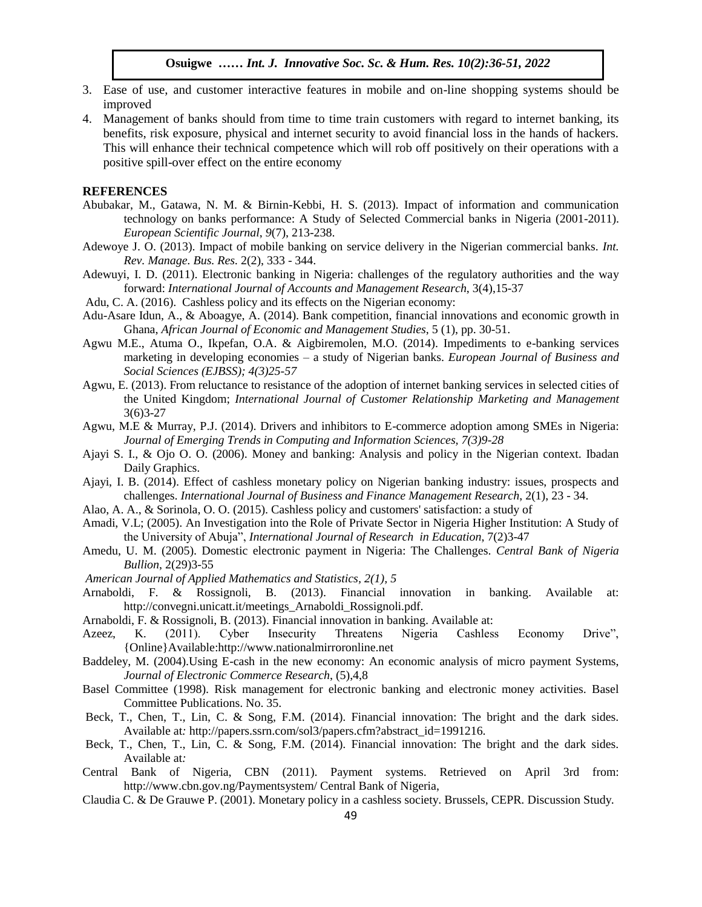- 3. Ease of use, and customer interactive features in mobile and on-line shopping systems should be improved
- 4. Management of banks should from time to time train customers with regard to internet banking, its benefits, risk exposure, physical and internet security to avoid financial loss in the hands of hackers. This will enhance their technical competence which will rob off positively on their operations with a positive spill-over effect on the entire economy

#### **REFERENCES**

- Abubakar, M., Gatawa, N. M. & Birnin-Kebbi, H. S. (2013). Impact of information and communication technology on banks performance: A Study of Selected Commercial banks in Nigeria (2001-2011). *European Scientific Journal*, *9*(7), 213-238.
- *European Scienitic Journal*,  $9(1)$ , 213-238.<br>Adewoye J. O. (2013). Impact of mobile banking on service delivery in the Nigerian commercial banks. *Int*. *Rev. Manage. Bus. Res.* 2(2), 333 - 344.
- Adewuyi, I. D. (2011). Electronic banking in Nigeria: challenges of the regulatory authorities and the way forward: *International Journal of Accounts and Management Research*, 3(4),15-37
- Adu, C. A. (2016). Cashless policy and its effects on the Nigerian economy:
- Adu-Asare Idun, A., & Aboagye, A. (2014). Bank competition, financial innovations and economic growth in Ghana, *African Journal of Economic and Management Studies*, 5 (1), pp. 30-51.
- Agwu M.E., Atuma O., Ikpefan, O.A. & Aigbiremolen, M.O. (2014). Impediments to e-banking services marketing in developing economies – a study of Nigerian banks. *European Journal of Business and Social Sciences (EJBSS); 4(3)25-57*
- Agwu, E. (2013). From reluctance to resistance of the adoption of internet banking services in selected cities of the United Kingdom; *International Journal of Customer Relationship Marketing and Management* 3(6)3-27  $3(6)3-27$
- Agwu, M.E & Murray, P.J. (2014). Drivers and inhibitors to E-commerce adoption among SMEs in Nigeria: *Journal of Emerging Trends in Computing and Information Sciences, 7(3)9-28*
- Ajayi S. I., & Ojo O. O. (2006). Money and banking: Analysis and policy in the Nigerian context. Ibadan Daily Graphics. Daily Graphics.
- Ajayi, I. B. (2014). Effect of cashless monetary policy on Nigerian banking industry: issues, prospects and challenges. *International Journal of Business and Finance Management Research*, 2(1), 23 - 34.
- Alao, A. A., & Sorinola, O. O. (2015). Cashless policy and customers' satisfaction: a study of
- Amadi, V.L; (2005). An Investigation into the Role of Private Sector in Nigeria Higher Institution: A Study of the University of Abuja", *International Journal of Research in Education*, 7(2)3-47
- Amedu, U. M. (2005). Domestic electronic payment in Nigeria: The Challenges. *Central Bank of Nigeria Bullion*, 2(29)3-55
- *American Journal of Applied Mathematics and Statistics, 2(1), 5*
- Arnaboldi, F. & Rossignoli, B. (2013). Financial innovation in banking. Available at: http://convegni.unicatt.it/meetings\_Arnaboldi\_Rossignoli.pdf.
- Arnaboldi, F. & Rossignoli, B. (2013). Financial innovation in banking. Available at:
- Azeez, K. (2011). Cyber Insecurity Threatens Nigeria Cashless Economy Drive", {Online}Available:http://www.nationalmirroronline.net
- Baddeley, M. (2004).Using E-cash in the new economy: An economic analysis of micro payment Systems, *Journal of Electronic Commerce Research*, (5),4,8
- Basel Committee (1998). Risk management for electronic banking and electronic money activities. Basel Committee Publications. No. 35.
- Beck, T., Chen, T., Lin, C. & Song, F.M. (2014). Financial innovation: The bright and the dark sides. Available at*:* http://papers.ssrn.com/sol3/papers.cfm?abstract\_id=1991216.
- Beck, T., Chen, T., Lin, C. & Song, F.M. (2014). Financial innovation: The bright and the dark sides. Available at*:*
- Central Bank of Nigeria, CBN (2011). Payment systems. Retrieved on April 3rd from: http://www.cbn.gov.ng/Paymentsystem/ Central Bank of Nigeria,
- Claudia C. & De Grauwe P. (2001). Monetary policy in a cashless society. Brussels, CEPR*.* Discussion Study*.*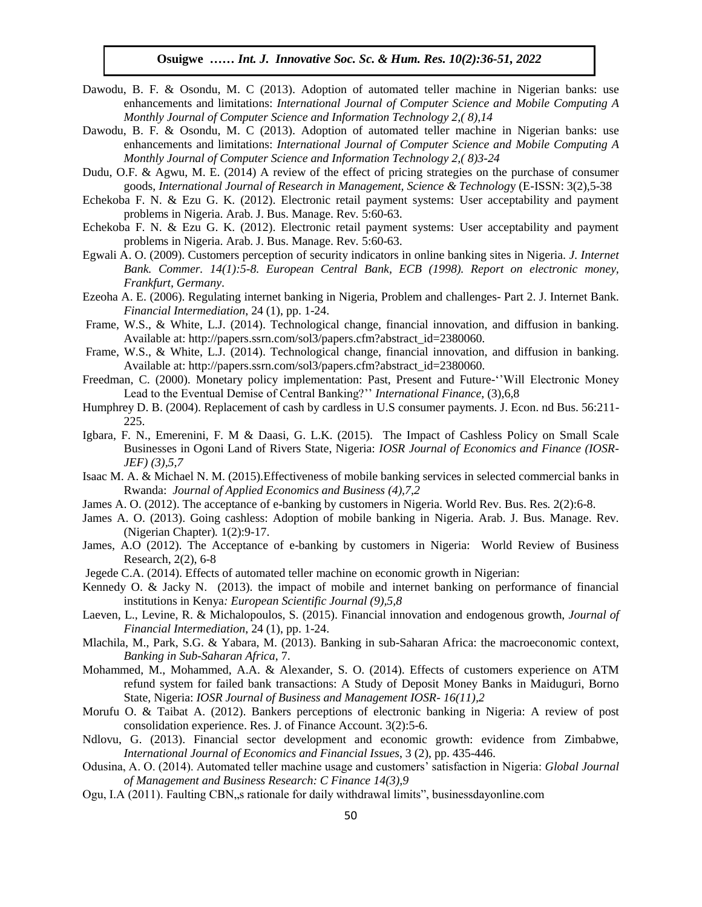- Dawodu, B. F. & Osondu, M. C (2013). Adoption of automated teller machine in Nigerian banks: use enhancements and limitations: *International Journal of Computer Science and Mobile Computing A Monthly Journal of Computer Science and Information Technology 2, (8), 14*
- Dawodu, B. F. & Osondu, M. C (2013). Adoption of automated teller machine in Nigerian banks: use enhancements and limitations: *International Journal of Computer Science and Mobile Computing A Monthly Journal of Computer Science and Information Technology 2,( 8)3-24*
- Dudu, O.F. & Agwu, M. E. (2014) A review of the effect of pricing strategies on the purchase of consumer goods, *International Journal of Research in Management, Science & Technolog*y (E-ISSN: 3(2),5-38
- Echekoba F. N. & Ezu G. K. (2012). Electronic retail payment systems: User acceptability and payment problems in Nigeria. Arab. J. Bus. Manage. Rev*.* 5:60-63.
- Echekoba F. N. & Ezu G. K. (2012). Electronic retail payment systems: User acceptability and payment problems in Nigeria. Arab. J. Bus. Manage. Rev*.* 5:60-63.
- Egwali A. O. (2009). Customers perception of security indicators in online banking sites in Nigeria. *J. Internet Bank. Commer. 14(1):5-8. European Central Bank, ECB (1998). Report on electronic money, Frankfurt, Germany*.
- Ezeoha A. E. (2006). Regulating internet banking in Nigeria, Problem and challenges- Part 2. J. Internet Bank. *Financial Intermediation*, 24 (1), pp. 1-24.
- Frame, W.S., & White, L.J. (2014). Technological change, financial innovation, and diffusion in banking. Available at: http://papers.ssrn.com/sol3/papers.cfm?abstract\_id=2380060.
- Frame, W.S., & White, L.J. (2014). Technological change, financial innovation, and diffusion in banking. Available at: http://papers.ssrn.com/sol3/papers.cfm?abstract\_id=2380060.
- Freedman, C. (2000). Monetary policy implementation: Past, Present and Future-''Will Electronic Money Lead to the Eventual Demise of Central Banking?'' *International Finance*, (3),6,8
- Humphrey D. B. (2004). Replacement of cash by cardless in U.S consumer payments. J. Econ. nd Bus. 56:211-225.
- Igbara, F. N., Emerenini, F. M & Daasi, G. L.K. (2015). The Impact of Cashless Policy on Small Scale Businesses in Ogoni Land of Rivers State, Nigeria: *IOSR Journal of Economics and Finance (IOSR-JEF) (3),5,7*  $JEF$ ) (3), 3, /
- Isaac M. A. & Michael N. M. (2015).Effectiveness of mobile banking services in selected commercial banks in Rwanda: *Journal of Applied Economics and Business (4),7,2*
- James A. O. (2012). The acceptance of e-banking by customers in Nigeria. World Rev. Bus. Res*.* 2(2):6-8.
- James A. O. (2013). Going cashless: Adoption of mobile banking in Nigeria. Arab. J. Bus. Manage. Rev. (Nigerian Chapter)*.* 1(2):9-17.
- James, A.O (2012). The Acceptance of e-banking by customers in Nigeria: World Review of Business Research, 2(2), 6-8
- Jegede C.A. (2014). Effects of automated teller machine on economic growth in Nigerian:
- Kennedy O. & Jacky N. (2013). the impact of mobile and internet banking on performance of financial institutions in Kenya*: European Scientific Journal (9),5,8*
- Laeven, L., Levine, R. & Michalopoulos, S. (2015). Financial innovation and endogenous growth, *Journal of Financial Intermediation*, 24 (1), pp. 1-24.
- Mlachila, M., Park, S.G. & Yabara, M. (2013). Banking in sub-Saharan Africa: the macroeconomic context, *Banking in Sub-Saharan Africa*, 7.
- Mohammed, M., Mohammed, A.A. & Alexander, S. O. (2014). Effects of customers experience on ATM refund system for failed bank transactions: A Study of Deposit Money Banks in Maiduguri, Borno State, Nigeria: *IOSR Journal of Business and Management IOSR- 16(11),2*
- Morufu O. & Taibat A. (2012). Bankers perceptions of electronic banking in Nigeria: A review of post consolidation experience. Res. J. of Finance Account. 3(2):5-6.
- Ndlovu, G. (2013). Financial sector development and economic growth: evidence from Zimbabwe, *International Journal of Economics and Financial Issues*, 3 (2), pp. 435-446.
- Odusina, A. O. (2014). Automated teller machine usage and customers' satisfaction in Nigeria: *Global Journal of Management and Business Research: C Finance 14(3),9*
- Ogu, I.A (2011). Faulting CBN, s rationale for daily withdrawal limits", businessdayonline.com